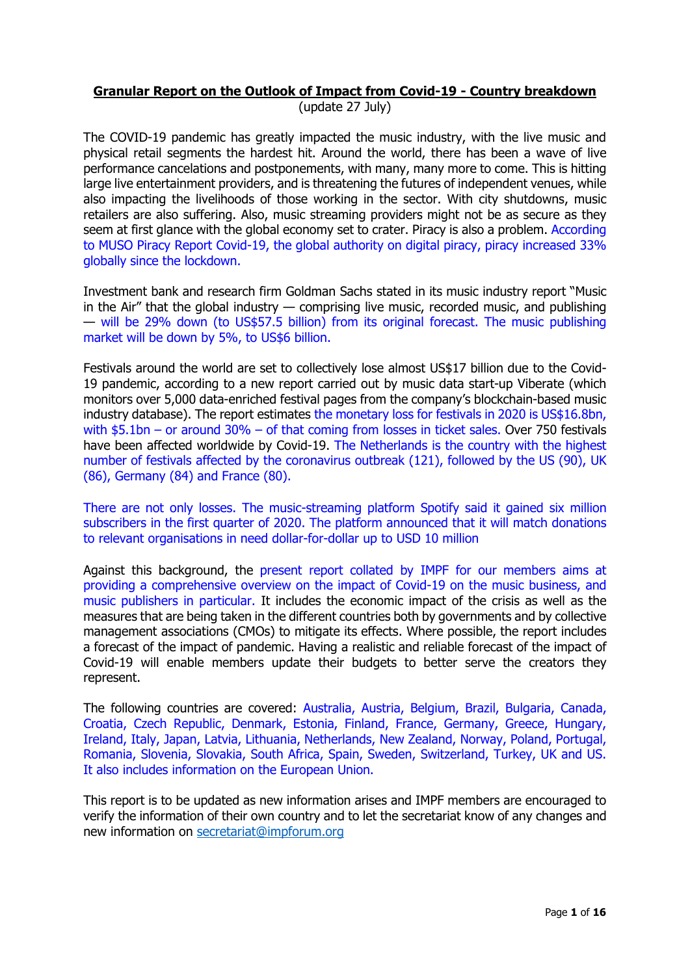# **Granular Report on the Outlook of Impact from Covid-19 - Country breakdown**

(update 27 July)

The COVID-19 pandemic has greatly impacted the music industry, with the live music and physical retail segments the hardest hit. Around the world, there has been a wave of live performance cancelations and postponements, with many, many more to come. This is hitting large live entertainment providers, and is threatening the futures of independent venues, while also impacting the livelihoods of those working in the sector. With city shutdowns, music retailers are also suffering. Also, music streaming providers might not be as secure as they seem at first glance with the global economy set to crater. Piracy is also a problem. According to MUSO Piracy Report Covid-19, the global authority on digital piracy, piracy increased 33% globally since the lockdown.

Investment bank and research firm Goldman Sachs stated in its music industry report "Music in the Air" that the global industry — comprising live music, recorded music, and publishing — will be 29% down (to US\$57.5 billion) from its original forecast. The music publishing market will be down by 5%, to US\$6 billion.

Festivals around the world are set to collectively lose almost US\$17 billion due to the Covid-19 pandemic, according to a new report carried out by music data start-up Viberate (which monitors over 5,000 data-enriched festival pages from the company's blockchain-based music industry database). The report estimates the monetary loss for festivals in 2020 is US\$16.8bn, with \$5.1bn – or around 30% – of that coming from losses in ticket sales. Over 750 festivals have been affected worldwide by Covid-19. The Netherlands is the country with the highest number of festivals affected by the coronavirus outbreak (121), followed by the US (90), UK (86), Germany (84) and France (80).

There are not only losses. The music-streaming platform Spotify said it gained six million subscribers in the first quarter of 2020. The platform announced that it will match donations to relevant organisations in need dollar-for-dollar up to USD 10 million

Against this background, the present report collated by IMPF for our members aims at providing a comprehensive overview on the impact of Covid-19 on the music business, and music publishers in particular. It includes the economic impact of the crisis as well as the measures that are being taken in the different countries both by governments and by collective management associations (CMOs) to mitigate its effects. Where possible, the report includes a forecast of the impact of pandemic. Having a realistic and reliable forecast of the impact of Covid-19 will enable members update their budgets to better serve the creators they represent.

The following countries are covered: Australia, Austria, Belgium, Brazil, Bulgaria, Canada, Croatia, Czech Republic, Denmark, Estonia, Finland, France, Germany, Greece, Hungary, Ireland, Italy, Japan, Latvia, Lithuania, Netherlands, New Zealand, Norway, Poland, Portugal, Romania, Slovenia, Slovakia, South Africa, Spain, Sweden, Switzerland, Turkey, UK and US. It also includes information on the European Union.

This report is to be updated as new information arises and IMPF members are encouraged to verify the information of their own country and to let the secretariat know of any changes and new information on [secretariat@impforum.org](mailto:secretariat@impforum.org)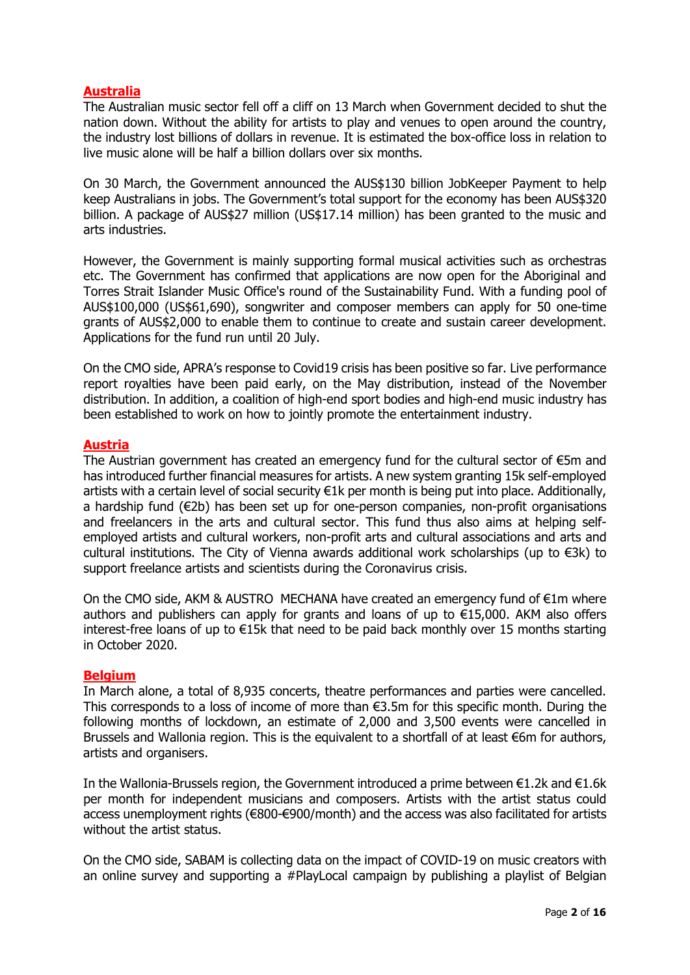# **Australia**

The Australian music sector fell off a cliff on 13 March when Government decided to shut the nation down. Without the ability for artists to play and venues to open around the country, the industry lost billions of dollars in revenue. It is estimated the box-office loss in relation to live music alone will be half a billion dollars over six months.

On 30 March, the Government announced the AUS\$130 billion JobKeeper Payment to help keep Australians in jobs. The Government's total support for the economy has been AUS\$320 billion. A package of AUS\$27 million (US\$17.14 million) has been granted to the music and arts industries.

However, the Government is mainly supporting formal musical activities such as orchestras etc. The Government has confirmed that applications are now open for the Aboriginal and Torres Strait Islander Music Office's round of the Sustainability Fund. With a funding pool of AUS\$100,000 (US\$61,690), songwriter and composer members can apply for 50 one-time grants of AUS\$2,000 to enable them to continue to create and sustain career development. Applications for the fund run until 20 July.

On the CMO side, APRA's response to Covid19 crisis has been positive so far. Live performance report royalties have been paid early, on the May distribution, instead of the November distribution. In addition, a coalition of high-end sport bodies and high-end music industry has been established to work on how to jointly promote the entertainment industry.

## **Austria**

The Austrian government has created an emergency fund for the cultural sector of €5m and has introduced further financial measures for artists. A new system granting 15k self-employed artists with a certain level of social security €1k per month is being put into place. Additionally, a hardship fund (€2b) has been set up for one-person companies, non-profit organisations and freelancers in the arts and cultural sector. This fund thus also aims at helping selfemployed artists and cultural workers, non-profit arts and cultural associations and arts and cultural institutions. The City of Vienna awards additional work scholarships (up to €3k) to support freelance artists and scientists during the Coronavirus crisis.

On the CMO side, AKM & AUSTRO MECHANA have created an emergency fund of €1m where authors and publishers can apply for grants and loans of up to €15,000. AKM also offers interest-free loans of up to €15k that need to be paid back monthly over 15 months starting in October 2020.

#### **Belgium**

In March alone, a total of 8,935 concerts, theatre performances and parties were cancelled. This corresponds to a loss of income of more than €3.5m for this specific month. During the following months of lockdown, an estimate of 2,000 and 3,500 events were cancelled in Brussels and Wallonia region. This is the equivalent to a shortfall of at least €6m for authors, artists and organisers.

In the Wallonia-Brussels region, the Government introduced a prime between €1.2k and €1.6k per month for independent musicians and composers. Artists with the artist status could access unemployment rights (€800-€900/month) and the access was also facilitated for artists without the artist status.

On the CMO side, SABAM is collecting data on the impact of COVID-19 on music creators with an online survey and supporting a #PlayLocal campaign by publishing a playlist of Belgian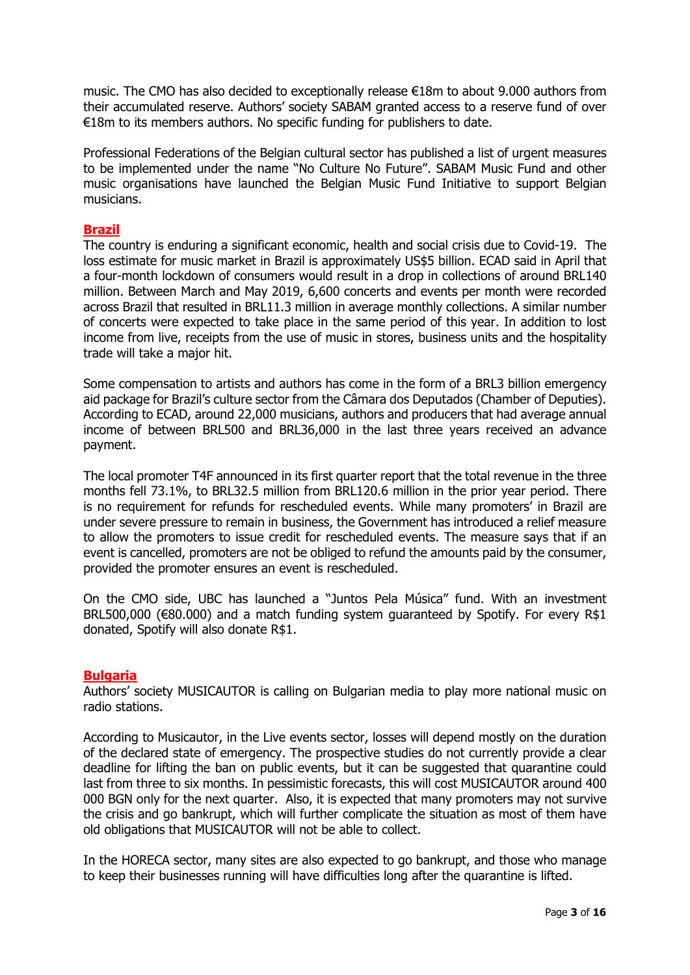music. The CMO has also decided to exceptionally release €18m to about 9.000 authors from their accumulated reserve. Authors' society SABAM granted access to a reserve fund of over €18m to its members authors. No specific funding for publishers to date.

Professional Federations of the Belgian cultural sector has published a list of urgent measures to be implemented under the name "No Culture No Future". SABAM Music Fund and other music organisations have launched the Belgian Music Fund Initiative to support Belgian musicians.

# **Brazil**

The country is enduring a significant economic, health and social crisis due to Covid-19. The loss estimate for music market in Brazil is approximately US\$5 billion. ECAD said in April that a four-month lockdown of consumers would result in a drop in collections of around BRL140 million. Between March and May 2019, 6,600 concerts and events per month were recorded across Brazil that resulted in BRL11.3 million in average monthly collections. A similar number of concerts were expected to take place in the same period of this year. In addition to lost income from live, receipts from the use of music in stores, business units and the hospitality trade will take a major hit.

Some compensation to artists and authors has come in the form of a BRL3 billion emergency aid package for Brazil's culture sector from the Câmara dos Deputados (Chamber of Deputies). According to ECAD, around 22,000 musicians, authors and producers that had average annual income of between BRL500 and BRL36,000 in the last three years received an advance payment.

The local promoter T4F announced in its first quarter report that the total revenue in the three months fell 73.1%, to BRL32.5 million from BRL120.6 million in the prior year period. There is no requirement for refunds for rescheduled events. While many promoters' in Brazil are under severe pressure to remain in business, the Government has introduced a relief measure to allow the promoters to issue credit for rescheduled events. The measure says that if an event is cancelled, promoters are not be obliged to refund the amounts paid by the consumer, provided the promoter ensures an event is rescheduled.

On the CMO side, UBC has launched a "Juntos Pela Música" fund. With an investment BRL500,000 (€80.000) and a match funding system guaranteed by Spotify. For every R\$1 donated, Spotify will also donate R\$1.

## **Bulgaria**

Authors' society MUSICAUTOR is calling on Bulgarian media to play more national music on radio stations.

According to Musicautor, in the Live events sector, losses will depend mostly on the duration of the declared state of emergency. The prospective studies do not currently provide a clear deadline for lifting the ban on public events, but it can be suggested that quarantine could last from three to six months. In pessimistic forecasts, this will cost MUSICAUTOR around 400 000 BGN only for the next quarter. Also, it is expected that many promoters may not survive the crisis and go bankrupt, which will further complicate the situation as most of them have old obligations that MUSICAUTOR will not be able to collect. 

In the HORECA sector, many sites are also expected to go bankrupt, and those who manage to keep their businesses running will have difficulties long after the quarantine is lifted.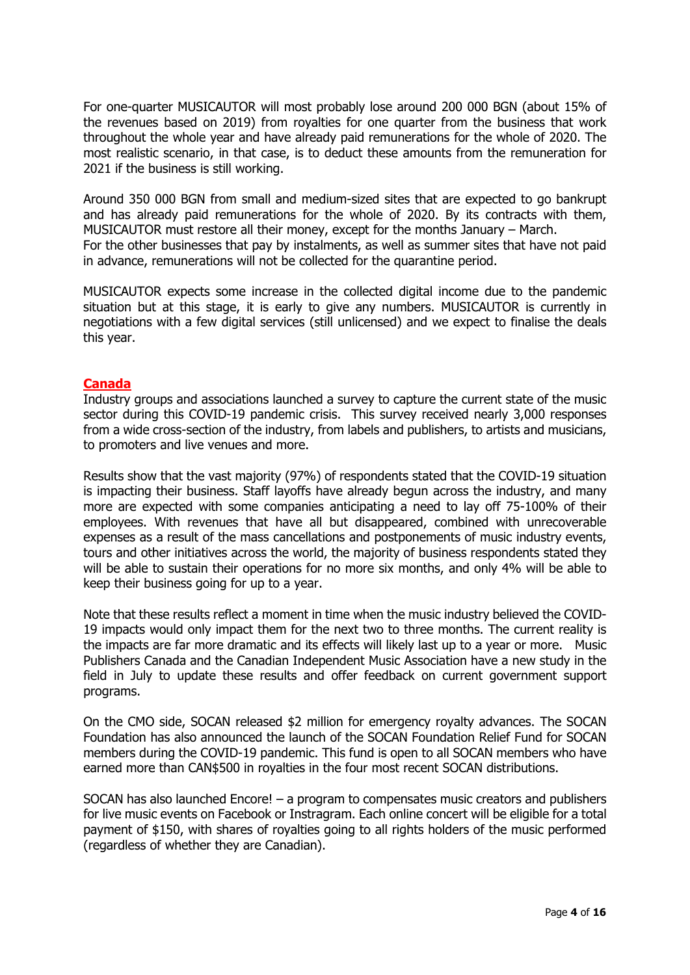For one-quarter MUSICAUTOR will most probably lose around 200 000 BGN (about 15% of the revenues based on 2019) from royalties for one quarter from the business that work throughout the whole year and have already paid remunerations for the whole of 2020. The most realistic scenario, in that case, is to deduct these amounts from the remuneration for 2021 if the business is still working.

Around 350 000 BGN from small and medium-sized sites that are expected to go bankrupt and has already paid remunerations for the whole of 2020. By its contracts with them, MUSICAUTOR must restore all their money, except for the months January – March. For the other businesses that pay by instalments, as well as summer sites that have not paid in advance, remunerations will not be collected for the quarantine period.

MUSICAUTOR expects some increase in the collected digital income due to the pandemic situation but at this stage, it is early to give any numbers. MUSICAUTOR is currently in negotiations with a few digital services (still unlicensed) and we expect to finalise the deals this year.

# **Canada**

Industry groups and associations launched a survey to capture the current state of the music sector during this COVID-19 pandemic crisis. This survey received nearly 3,000 responses from a wide cross-section of the industry, from labels and publishers, to artists and musicians, to promoters and live venues and more.

Results show that the vast majority (97%) of respondents stated that the COVID-19 situation is impacting their business. Staff layoffs have already begun across the industry, and many more are expected with some companies anticipating a need to lay off 75-100% of their employees. With revenues that have all but disappeared, combined with unrecoverable expenses as a result of the mass cancellations and postponements of music industry events, tours and other initiatives across the world, the majority of business respondents stated they will be able to sustain their operations for no more six months, and only 4% will be able to keep their business going for up to a year.

Note that these results reflect a moment in time when the music industry believed the COVID-19 impacts would only impact them for the next two to three months. The current reality is the impacts are far more dramatic and its effects will likely last up to a year or more. Music Publishers Canada and the Canadian Independent Music Association have a new study in the field in July to update these results and offer feedback on current government support programs.

On the CMO side, SOCAN released \$2 million for emergency royalty advances. The SOCAN Foundation has also announced the launch of the SOCAN Foundation Relief Fund for SOCAN members during the COVID-19 pandemic. This fund is open to all SOCAN members who have earned more than CAN\$500 in royalties in the four most recent SOCAN distributions.

SOCAN has also launched Encore! – a program to compensates music creators and publishers for live music events on Facebook or Instragram. Each online concert will be eligible for a total payment of \$150, with shares of royalties going to all rights holders of the music performed (regardless of whether they are Canadian).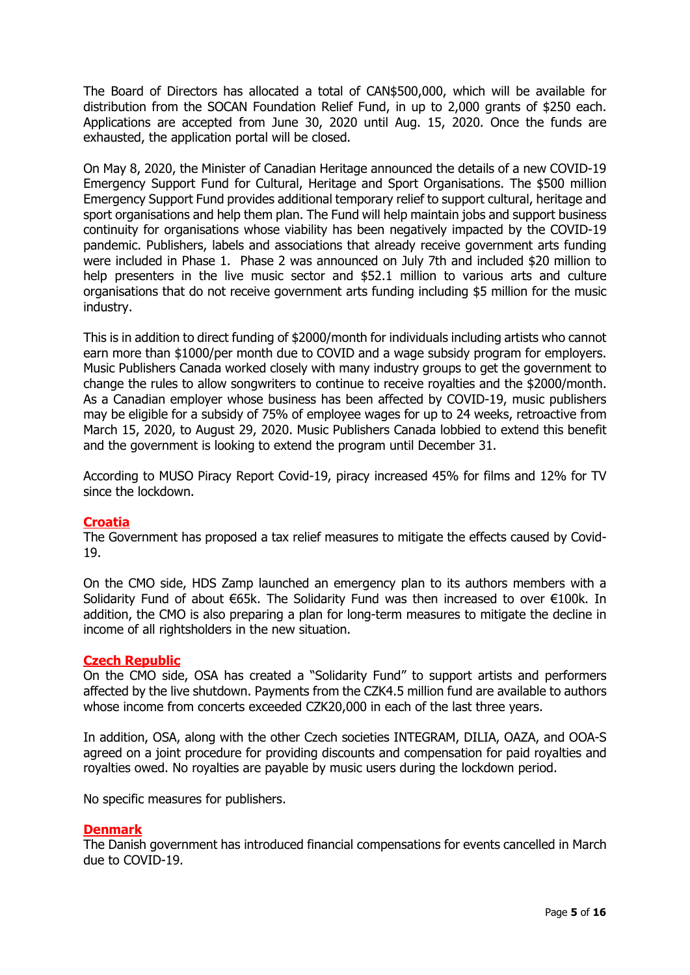The Board of Directors has allocated a total of CAN\$500,000, which will be available for distribution from the SOCAN Foundation Relief Fund, in up to 2,000 grants of \$250 each. Applications are accepted from June 30, 2020 until Aug. 15, 2020. Once the funds are exhausted, the application portal will be closed.

On May 8, 2020, the Minister of Canadian Heritage announced the details of a new COVID-19 Emergency Support Fund for Cultural, Heritage and Sport Organisations. The \$500 million Emergency Support Fund provides additional temporary relief to support cultural, heritage and sport organisations and help them plan. The Fund will help maintain jobs and support business continuity for organisations whose viability has been negatively impacted by the COVID-19 pandemic. Publishers, labels and associations that already receive government arts funding were included in Phase 1. Phase 2 was announced on July 7th and included \$20 million to help presenters in the live music sector and \$52.1 million to various arts and culture organisations that do not receive government arts funding including \$5 million for the music industry.

This is in addition to direct funding of \$2000/month for individuals including artists who cannot earn more than \$1000/per month due to COVID and a wage subsidy program for employers. Music Publishers Canada worked closely with many industry groups to get the government to change the rules to allow songwriters to continue to receive royalties and the \$2000/month. As a Canadian employer whose business has been affected by COVID-19, music publishers may be eligible for a subsidy of 75% of employee wages for up to 24 weeks, retroactive from March 15, 2020, to August 29, 2020. Music Publishers Canada lobbied to extend this benefit and the government is looking to extend the program until December 31.

According to MUSO Piracy Report Covid-19, piracy increased 45% for films and 12% for TV since the lockdown.

## **Croatia**

The Government has proposed a tax relief measures to mitigate the effects caused by Covid-19.

On the CMO side, HDS Zamp launched an emergency plan to its authors members with a Solidarity Fund of about €65k. The Solidarity Fund was then increased to over €100k. In addition, the CMO is also preparing a plan for long-term measures to mitigate the decline in income of all rightsholders in the new situation.

#### **Czech Republic**

On the CMO side, OSA has created a "Solidarity Fund" to support artists and performers affected by the live shutdown. Payments from the CZK4.5 million fund are available to authors whose income from concerts exceeded CZK20,000 in each of the last three years.

In addition, OSA, along with the other Czech societies INTEGRAM, DILIA, OAZA, and OOA-S agreed on a joint procedure for providing discounts and compensation for paid royalties and royalties owed. No royalties are payable by music users during the lockdown period.

No specific measures for publishers.

#### **Denmark**

The Danish government has introduced financial compensations for events cancelled in March due to COVID-19.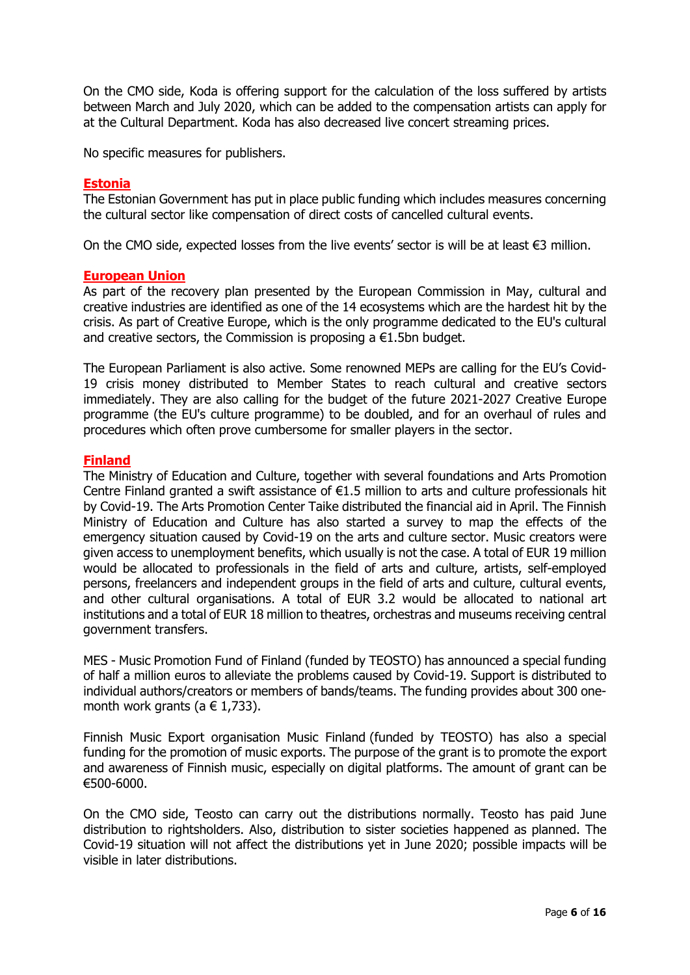On the CMO side, Koda is offering support for the calculation of the loss suffered by artists between March and July 2020, which can be added to the compensation artists can apply for at the Cultural Department. Koda has also decreased live concert streaming prices.

No specific measures for publishers.

#### **Estonia**

The Estonian Government has put in place public funding which includes measures concerning the cultural sector like compensation of direct costs of cancelled cultural events.

On the CMO side, expected losses from the live events' sector is will be at least €3 million.

#### **European Union**

As part of the recovery plan presented by the European Commission in May, cultural and creative industries are identified as one of the 14 ecosystems which are the hardest hit by the crisis. As part of Creative Europe, which is the only programme dedicated to the EU's cultural and creative sectors, the Commission is proposing a  $E1.5$ bn budget.

The European Parliament is also active. Some renowned MEPs are calling for the EU's Covid-19 crisis money distributed to Member States to reach cultural and creative sectors immediately. They are also calling for the budget of the future 2021-2027 Creative Europe programme (the EU's culture programme) to be doubled, and for an overhaul of rules and procedures which often prove cumbersome for smaller players in the sector.

#### **Finland**

The Ministry of Education and Culture, together with several foundations and Arts Promotion Centre Finland granted a swift assistance of €1.5 million to arts and culture professionals hit by Covid-19. The Arts Promotion Center Taike distributed the financial aid in April. The Finnish Ministry of Education and Culture has also started a survey to map the effects of the emergency situation caused by Covid-19 on the arts and culture sector. Music creators were given access to unemployment benefits, which usually is not the case. A total of EUR 19 million would be allocated to professionals in the field of arts and culture, artists, self-employed persons, freelancers and independent groups in the field of arts and culture, cultural events, and other cultural organisations. A total of EUR 3.2 would be allocated to national art institutions and a total of EUR 18 million to theatres, orchestras and museums receiving central government transfers.

MES - Music Promotion Fund of Finland (funded by TEOSTO) has announced a special funding of half a million euros to alleviate the problems caused by Covid-19. Support is distributed to individual authors/creators or members of bands/teams. The funding provides about 300 onemonth work grants ( $a \in 1,733$ ).

Finnish Music Export organisation Music Finland (funded by TEOSTO) has also a special funding for the promotion of music exports. The purpose of the grant is to promote the export and awareness of Finnish music, especially on digital platforms. The amount of grant can be €500-6000.

On the CMO side, Teosto can carry out the distributions normally. Teosto has paid June distribution to rightsholders. Also, distribution to sister societies happened as planned. The Covid-19 situation will not affect the distributions yet in June 2020; possible impacts will be visible in later distributions.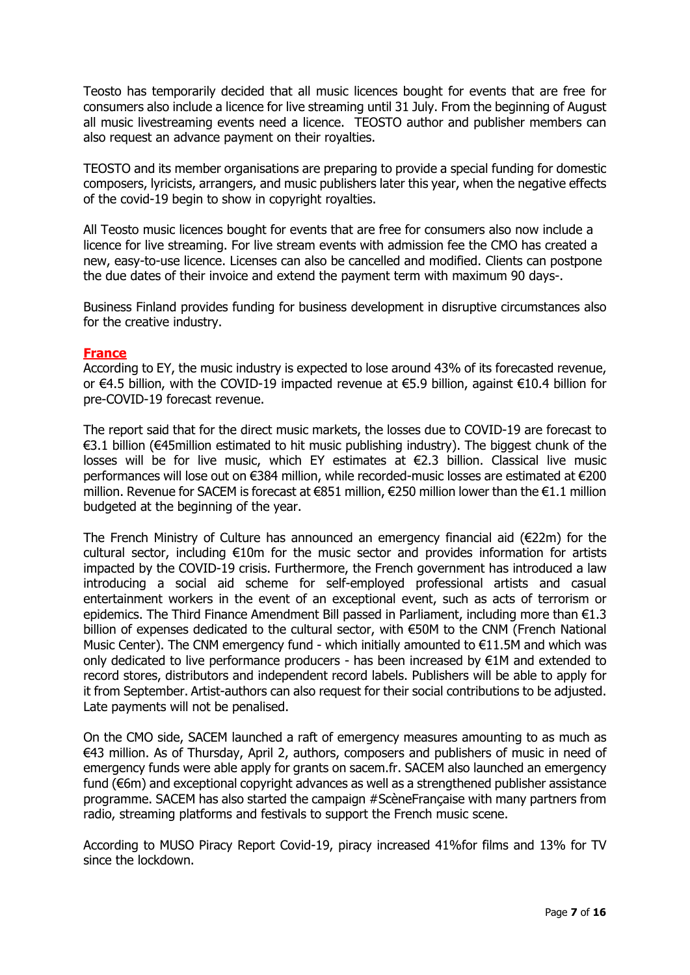Teosto has temporarily decided that all music licences bought for events that are free for consumers also include a licence for live streaming until 31 July. From the beginning of August all music livestreaming events need a licence. TEOSTO author and publisher members can also request an advance payment on their royalties.

TEOSTO and its member organisations are preparing to provide a special funding for domestic composers, lyricists, arrangers, and music publishers later this year, when the negative effects of the covid-19 begin to show in copyright royalties.

All Teosto music licences bought for events that are free for consumers also now include a licence for live streaming. For live stream events with admission fee the CMO has created a new, easy-to-use licence. Licenses can also be cancelled and modified. Clients can postpone the due dates of their invoice and extend the payment term with maximum 90 days-.

Business Finland provides funding for business development in disruptive circumstances also for the creative industry.

#### **France**

According to EY, the music industry is expected to lose around 43% of its forecasted revenue, or €4.5 billion, with the COVID-19 impacted revenue at €5.9 billion, against €10.4 billion for pre-COVID-19 forecast revenue.

The report said that for the direct music markets, the losses due to COVID-19 are forecast to €3.1 billion (€45million estimated to hit music publishing industry). The biggest chunk of the losses will be for live music, which EY estimates at €2.3 billion. Classical live music performances will lose out on €384 million, while recorded-music losses are estimated at €200 million. Revenue for SACEM is forecast at €851 million, €250 million lower than the €1.1 million budgeted at the beginning of the year.

The French Ministry of Culture has announced an emergency financial aid (€22m) for the cultural sector, including €10m for the music sector and provides information for artists impacted by the COVID-19 crisis. Furthermore, the French government has introduced a law introducing a social aid scheme for self-employed professional artists and casual entertainment workers in the event of an exceptional event, such as acts of terrorism or epidemics. The Third Finance Amendment Bill passed in Parliament, including more than €1.3 billion of expenses dedicated to the cultural sector, with €50M to the CNM (French National Music Center). The CNM emergency fund - which initially amounted to  $E11.5M$  and which was only dedicated to live performance producers - has been increased by €1M and extended to record stores, distributors and independent record labels. Publishers will be able to apply for it from September. Artist-authors can also request for their social contributions to be adjusted. Late payments will not be penalised.

On the CMO side, SACEM launched a raft of emergency measures amounting to as much as €43 million. As of Thursday, April 2, authors, composers and publishers of music in need of emergency funds were able apply for grants on sacem.fr. SACEM also launched an emergency fund (€6m) and exceptional copyright advances as well as a strengthened publisher assistance programme. SACEM has also started the campaign #ScèneFrançaise with many partners from radio, streaming platforms and festivals to support the French music scene.

According to MUSO Piracy Report Covid-19, piracy increased 41%for films and 13% for TV since the lockdown.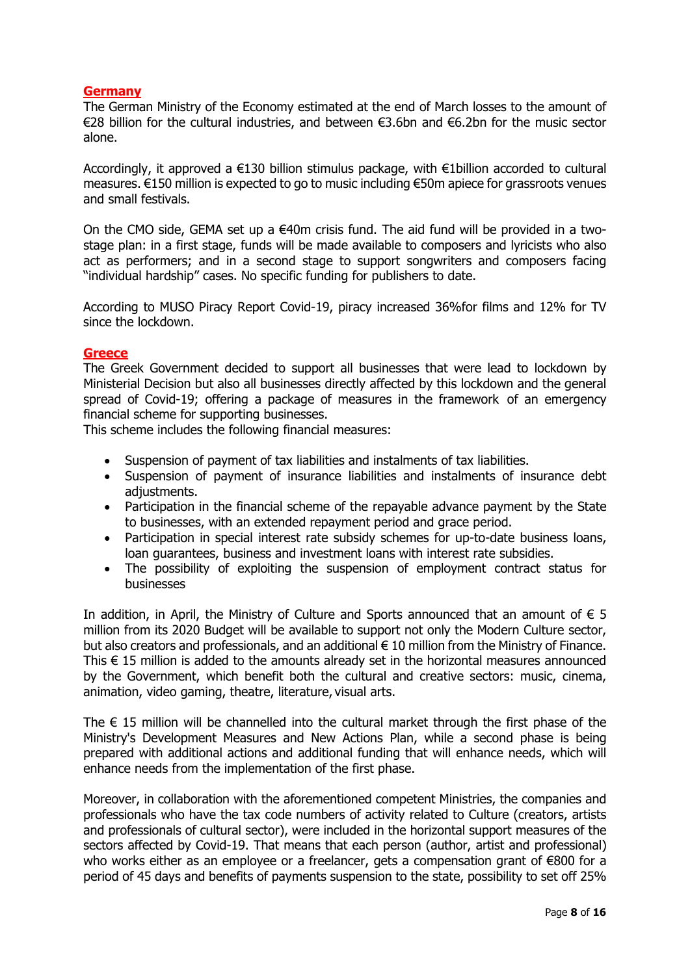# **Germany**

The German Ministry of the Economy estimated at the end of March losses to the amount of €28 billion for the cultural industries, and between €3.6bn and €6.2bn for the music sector alone.

Accordingly, it approved a €130 billion stimulus package, with €1billion accorded to cultural measures. €150 million is expected to go to music including €50m apiece for grassroots venues and small festivals.

On the CMO side, GEMA set up a  $\epsilon$ 40m crisis fund. The aid fund will be provided in a twostage plan: in a first stage, funds will be made available to composers and lyricists who also act as performers; and in a second stage to support songwriters and composers facing "individual hardship" cases. No specific funding for publishers to date.

According to MUSO Piracy Report Covid-19, piracy increased 36%for films and 12% for TV since the lockdown.

## **Greece**

The Greek Government decided to support all businesses that were lead to lockdown by Ministerial Decision but also all businesses directly affected by this lockdown and the general spread of Covid-19; offering a package of measures in the framework  of an emergency financial scheme for supporting businesses.

Τhis scheme includes the following financial measures:

- Suspension of payment of tax liabilities and instalments of tax liabilities.
- Suspension of payment of insurance liabilities and instalments of insurance debt adjustments.
- Participation in the financial scheme of the repayable advance payment by the State to businesses, with an extended repayment period and grace period.
- Participation in special interest rate subsidy schemes for up-to-date business loans, loan guarantees, business and investment loans with interest rate subsidies.
- The possibility of exploiting the suspension of employment contract status for businesses

In addition, in April, the Ministry of Culture and Sports announced that an amount of  $\epsilon$  5 million from its 2020 Budget will be available to support not only the Modern Culture sector, but also creators and professionals, and an additional  $\epsilon$  10 million from the Ministry of Finance. This € 15 million is added to the amounts already set in the horizontal measures announced by the Government, which benefit both the cultural and creative sectors: music, cinema, animation, video gaming, theatre, literature, visual arts.

The  $\epsilon$  15 million will be channelled into the cultural market through the first phase of the Ministry's Development Measures and New Actions Plan, while a second phase is being prepared with additional actions and additional funding that will enhance needs, which will enhance needs from the implementation of the first phase.

Moreover, in collaboration with the aforementioned competent Ministries, the companies and professionals who have the tax code numbers of activity related to Culture (creators, artists and professionals of cultural sector), were included in the horizontal support measures of the sectors affected by Covid-19. That means that each person (author, artist and professional) who works either as an employee or a freelancer, gets a compensation grant of €800 for a period of 45 days and benefits of payments suspension to the state, possibility to set off 25%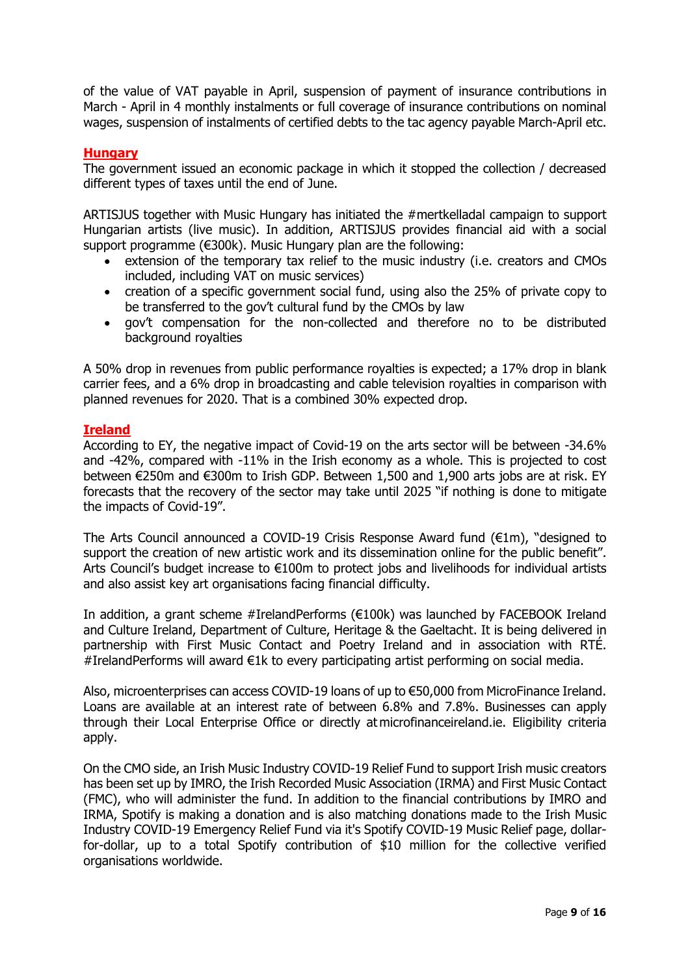of the value of VAT payable in April, suspension of payment of insurance contributions in March - April in 4 monthly instalments or full coverage of insurance contributions on nominal wages, suspension of instalments of certified debts to the tac agency payable March-April etc.

# **Hungary**

The government issued an economic package in which it stopped the collection / decreased different types of taxes until the end of June.

ARTISJUS together with Music Hungary has initiated the #mertkelladal campaign to support Hungarian artists (live music). In addition, ARTISJUS provides financial aid with a social support programme (€300k). Music Hungary plan are the following:

- extension of the temporary tax relief to the music industry (i.e. creators and CMOs included, including VAT on music services)
- creation of a specific government social fund, using also the 25% of private copy to be transferred to the gov't cultural fund by the CMOs by law
- gov't compensation for the non-collected and therefore no to be distributed background royalties

A 50% drop in revenues from public performance royalties is expected; a 17% drop in blank carrier fees, and a 6% drop in broadcasting and cable television royalties in comparison with planned revenues for 2020. That is a combined 30% expected drop.

## **Ireland**

According to EY, the negative impact of Covid-19 on the arts sector will be between -34.6% and -42%, compared with -11% in the Irish economy as a whole. This is projected to cost between €250m and €300m to Irish GDP. Between 1,500 and 1,900 arts jobs are at risk. EY forecasts that the recovery of the sector may take until 2025 "if nothing is done to mitigate the impacts of Covid-19".

The Arts Council announced a COVID-19 Crisis Response Award fund (€1m), "designed to support the creation of new artistic work and its dissemination online for the public benefit". Arts Council's budget increase to €100m to protect jobs and livelihoods for individual artists and also assist key art organisations facing financial difficulty.

In addition, a grant scheme #IrelandPerforms (€100k) was launched by FACEBOOK Ireland and Culture Ireland, Department of Culture, Heritage & the Gaeltacht. It is being delivered in partnership with First Music Contact and Poetry Ireland and in association with RTÉ. #IrelandPerforms will award €1k to every participating artist performing on social media.

Also, microenterprises can access COVID-19 loans of up to €50,000 from MicroFinance Ireland. Loans are available at an interest rate of between 6.8% and 7.8%. Businesses can apply through their Local Enterprise Office or directly at microfinanceireland.ie. Eligibility criteria apply.

On the CMO side, an Irish Music Industry COVID-19 Relief Fund to support Irish music creators has been set up by IMRO, the Irish Recorded Music Association (IRMA) and First Music Contact (FMC), who will administer the fund. In addition to the financial contributions by IMRO and IRMA, Spotify is making a donation and is also matching donations made to the Irish Music Industry COVID-19 Emergency Relief Fund via it's Spotify COVID-19 Music Relief page, dollarfor-dollar, up to a total Spotify contribution of \$10 million for the collective verified organisations worldwide.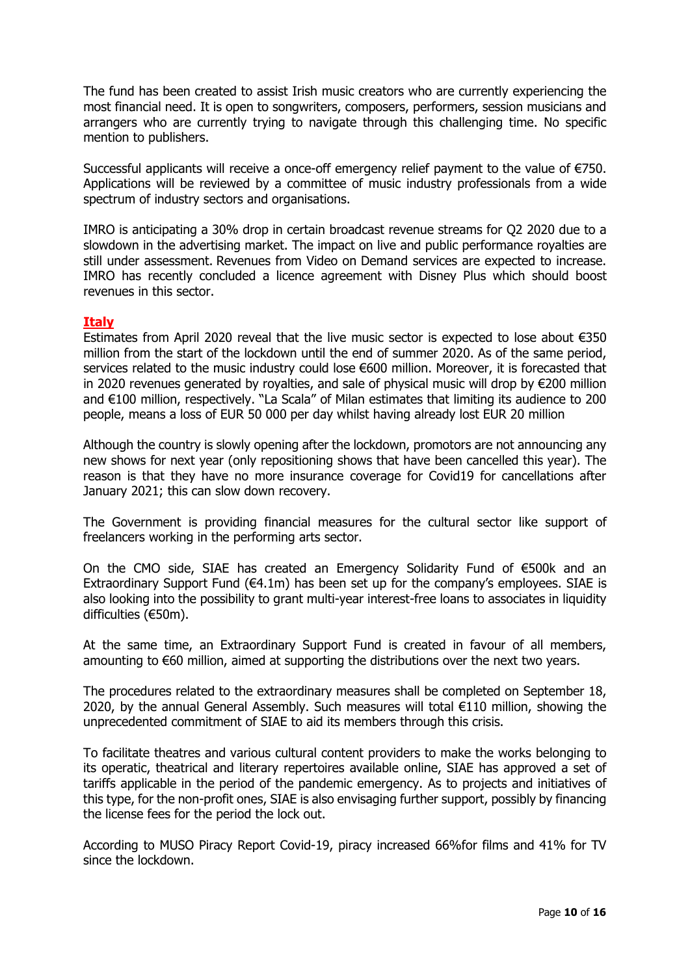The fund has been created to assist Irish music creators who are currently experiencing the most financial need. It is open to songwriters, composers, performers, session musicians and arrangers who are currently trying to navigate through this challenging time. No specific mention to publishers.

Successful applicants will receive a once-off emergency relief payment to the value of €750. Applications will be reviewed by a committee of music industry professionals from a wide spectrum of industry sectors and organisations.

IMRO is anticipating a 30% drop in certain broadcast revenue streams for Q2 2020 due to a slowdown in the advertising market. The impact on live and public performance royalties are still under assessment. Revenues from Video on Demand services are expected to increase. IMRO has recently concluded a licence agreement with Disney Plus which should boost revenues in this sector.

#### **Italy**

Estimates from April 2020 reveal that the live music sector is expected to lose about €350 million from the start of the lockdown until the end of summer 2020. As of the same period, services related to the music industry could lose €600 million. Moreover, it is forecasted that in 2020 revenues generated by royalties, and sale of physical music will drop by €200 million and €100 million, respectively. "La Scala" of Milan estimates that limiting its audience to 200 people, means a loss of EUR 50 000 per day whilst having already lost EUR 20 million

Although the country is slowly opening after the lockdown, promotors are not announcing any new shows for next year (only repositioning shows that have been cancelled this year). The reason is that they have no more insurance coverage for Covid19 for cancellations after January 2021; this can slow down recovery.

The Government is providing financial measures for the cultural sector like support of freelancers working in the performing arts sector.

On the CMO side, SIAE has created an Emergency Solidarity Fund of €500k and an Extraordinary Support Fund ( $64.1m$ ) has been set up for the company's employees. SIAE is also looking into the possibility to grant multi-year interest-free loans to associates in liquidity difficulties (€50m).

At the same time, an Extraordinary Support Fund is created in favour of all members, amounting to €60 million, aimed at supporting the distributions over the next two years.

The procedures related to the extraordinary measures shall be completed on September 18, 2020, by the annual General Assembly. Such measures will total €110 million, showing the unprecedented commitment of SIAE to aid its members through this crisis.

To facilitate theatres and various cultural content providers to make the works belonging to its operatic, theatrical and literary repertoires available online, SIAE has approved a set of tariffs applicable in the period of the pandemic emergency. As to projects and initiatives of this type, for the non-profit ones, SIAE is also envisaging further support, possibly by financing the license fees for the period the lock out.

According to MUSO Piracy Report Covid-19, piracy increased 66%for films and 41% for TV since the lockdown.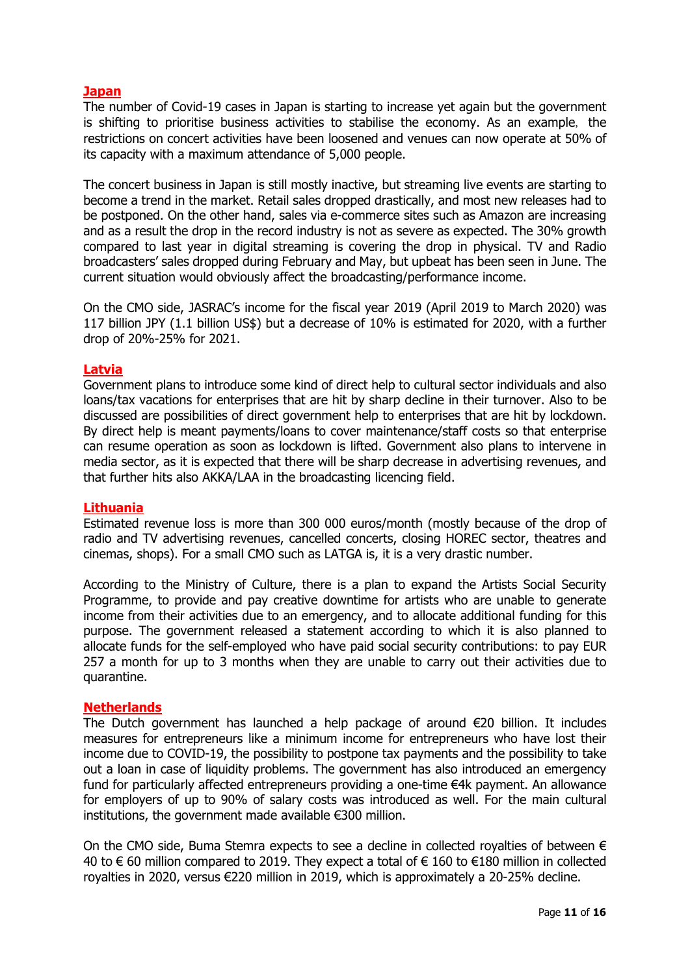# **Japan**

The number of Covid-19 cases in Japan is starting to increase yet again but the government is shifting to prioritise business activities to stabilise the economy. As an example, the restrictions on concert activities have been loosened and venues can now operate at 50% of its capacity with a maximum attendance of 5,000 people.

The concert business in Japan is still mostly inactive, but streaming live events are starting to become a trend in the market. Retail sales dropped drastically, and most new releases had to be postponed. On the other hand, sales via e-commerce sites such as Amazon are increasing and as a result the drop in the record industry is not as severe as expected. The 30% growth compared to last year in digital streaming is covering the drop in physical. TV and Radio broadcasters' sales dropped during February and May, but upbeat has been seen in June. The current situation would obviously affect the broadcasting/performance income.

On the CMO side, JASRAC's income for the fiscal year 2019 (April 2019 to March 2020) was 117 billion JPY (1.1 billion US\$) but a decrease of 10% is estimated for 2020, with a further drop of 20%-25% for 2021.

## **Latvia**

Government plans to introduce some kind of direct help to cultural sector individuals and also loans/tax vacations for enterprises that are hit by sharp decline in their turnover. Also to be discussed are possibilities of direct government help to enterprises that are hit by lockdown. By direct help is meant payments/loans to cover maintenance/staff costs so that enterprise can resume operation as soon as lockdown is lifted. Government also plans to intervene in media sector, as it is expected that there will be sharp decrease in advertising revenues, and that further hits also AKKA/LAA in the broadcasting licencing field.

#### **Lithuania**

Estimated revenue loss is more than 300 000 euros/month (mostly because of the drop of radio and TV advertising revenues, cancelled concerts, closing HOREC sector, theatres and cinemas, shops). For a small CMO such as LATGA is, it is a very drastic number. 

According to the Ministry of Culture, there is a plan to expand the Artists Social Security Programme, to provide and pay creative downtime for artists who are unable to generate income from their activities due to an emergency, and to allocate additional funding for this purpose. The government released a statement according to which it is also planned to allocate funds for the self-employed who have paid social security contributions: to pay EUR 257 a month for up to 3 months when they are unable to carry out their activities due to quarantine.

## **Netherlands**

The Dutch government has launched a help package of around €20 billion. It includes measures for entrepreneurs like a minimum income for entrepreneurs who have lost their income due to COVID-19, the possibility to postpone tax payments and the possibility to take out a loan in case of liquidity problems. The government has also introduced an emergency fund for particularly affected entrepreneurs providing a one-time €4k payment. An allowance for employers of up to 90% of salary costs was introduced as well. For the main cultural institutions, the government made available €300 million.

On the CMO side, Buma Stemra expects to see a decline in collected royalties of between  $\epsilon$ 40 to € 60 million compared to 2019. They expect a total of € 160 to €180 million in collected royalties in 2020, versus €220 million in 2019, which is approximately a 20-25% decline.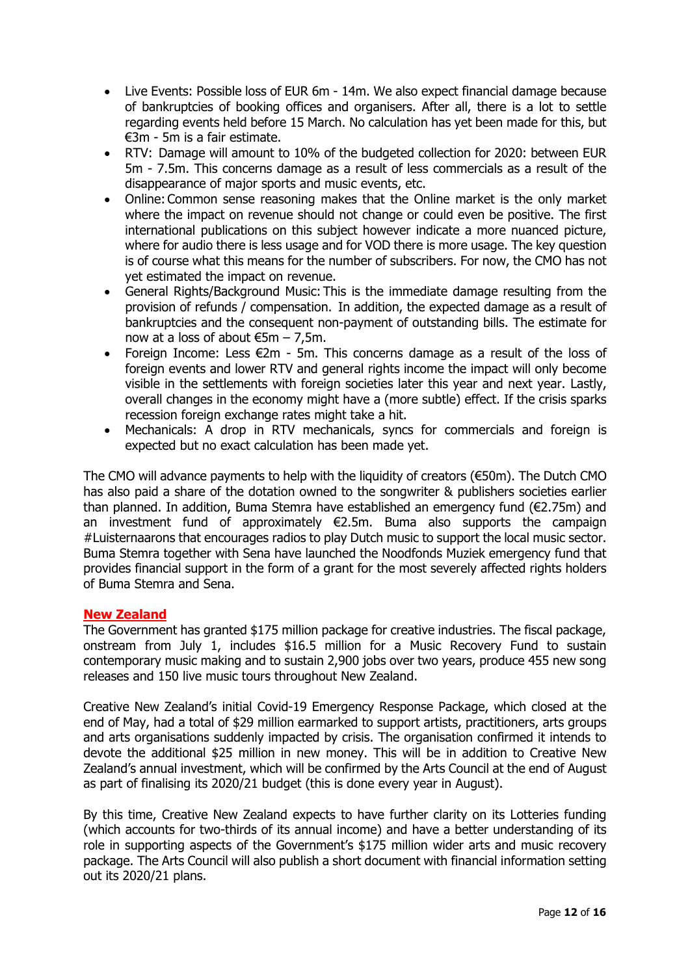- Live Events: Possible loss of EUR 6m 14m. We also expect financial damage because of bankruptcies of booking offices and organisers. After all, there is a lot to settle regarding events held before 15 March. No calculation has yet been made for this, but €3m - 5m is a fair estimate.
- RTV:  Damage will amount to 10% of the budgeted collection for 2020: between EUR 5m - 7.5m. This concerns damage as a result of less commercials as a result of the disappearance of major sports and music events, etc.
- Online: Common sense reasoning makes that the Online market is the only market where the impact on revenue should not change or could even be positive. The first international publications on this subject however indicate a more nuanced picture, where for audio there is less usage and for VOD there is more usage. The key question is of course what this means for the number of subscribers. For now, the CMO has not yet estimated the impact on revenue.
- General Rights/Background Music: This is the immediate damage resulting from the provision of refunds / compensation.  In addition, the expected damage as a result of bankruptcies and the consequent non-payment of outstanding bills. The estimate for now at a loss of about  $\epsilon$ 5m – 7,5m.
- Foreign Income: Less €2m 5m. This concerns damage as a result of the loss of foreign events and lower RTV and general rights income the impact will only become visible in the settlements with foreign societies later this year and next year. Lastly, overall changes in the economy might have a (more subtle) effect. If the crisis sparks recession foreign exchange rates might take a hit.
- Mechanicals: A drop in RTV mechanicals, syncs for commercials and foreign is expected but no exact calculation has been made yet.

The CMO will advance payments to help with the liquidity of creators (€50m). The Dutch CMO has also paid a share of the dotation owned to the songwriter & publishers societies earlier than planned. In addition, Buma Stemra have established an emergency fund ( $\epsilon$ 2.75m) and an investment fund of approximately  $E$ 2.5m. Buma also supports the campaign #Luisternaarons that encourages radios to play Dutch music to support the local music sector. Buma Stemra together with Sena have launched the Noodfonds Muziek emergency fund that provides financial support in the form of a grant for the most severely affected rights holders of Buma Stemra and Sena.

# **New Zealand**

The Government has granted \$175 million package for creative industries. The fiscal package, onstream from July 1, includes \$16.5 million for a Music Recovery Fund to sustain contemporary music making and to sustain 2,900 jobs over two years, produce 455 new song releases and 150 live music tours throughout New Zealand.

Creative New Zealand's initial Covid-19 Emergency Response Package, which closed at the end of May, had a total of \$29 million earmarked to support artists, practitioners, arts groups and arts organisations suddenly impacted by crisis. The organisation confirmed it intends to devote the additional \$25 million in new money. This will be in addition to Creative New Zealand's annual investment, which will be confirmed by the Arts Council at the end of August as part of finalising its 2020/21 budget (this is done every year in August).

By this time, Creative New Zealand expects to have further clarity on its Lotteries funding (which accounts for two-thirds of its annual income) and have a better understanding of its role in supporting aspects of the Government's \$175 million wider arts and music recovery package. The Arts Council will also publish a short document with financial information setting out its 2020/21 plans.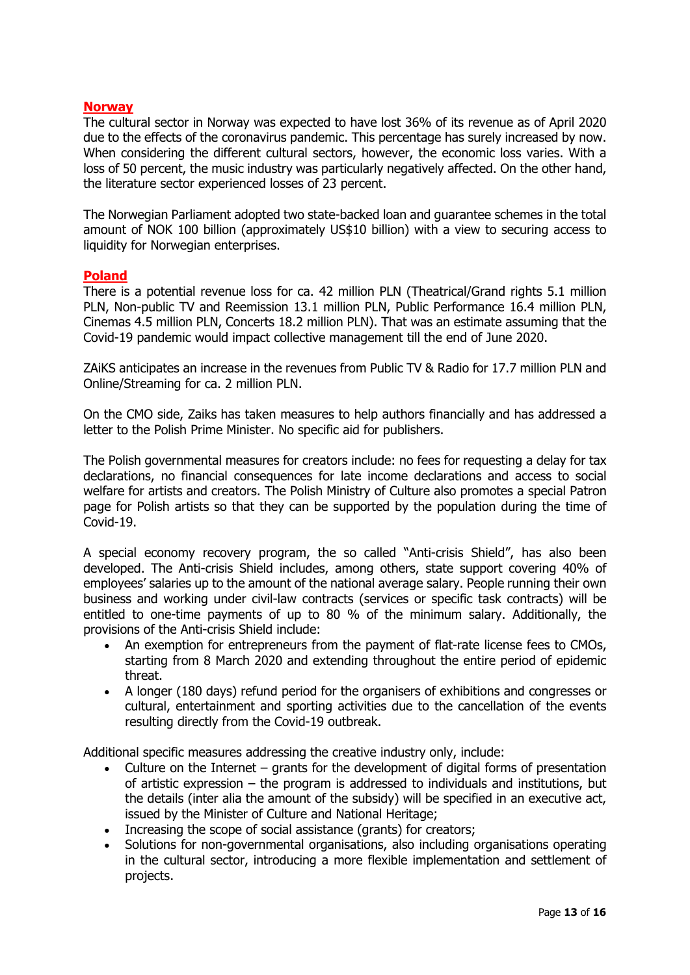## **Norway**

The cultural sector in Norway was expected to have lost 36% of its revenue as of April 2020 due to the effects of the coronavirus pandemic. This percentage has surely increased by now. When considering the different cultural sectors, however, the economic loss varies. With a loss of 50 percent, the music industry was particularly negatively affected. On the other hand, the literature sector experienced losses of 23 percent.

The Norwegian Parliament adopted two state-backed loan and guarantee schemes in the total amount of NOK 100 billion (approximately US\$10 billion) with a view to securing access to liquidity for Norwegian enterprises.

## **Poland**

There is a potential revenue loss for ca. 42 million PLN (Theatrical/Grand rights 5.1 million PLN, Non-public TV and Reemission 13.1 million PLN, Public Performance 16.4 million PLN, Cinemas 4.5 million PLN, Concerts 18.2 million PLN). That was an estimate assuming that the Covid-19 pandemic would impact collective management till the end of June 2020.

ZAiKS anticipates an increase in the revenues from Public TV & Radio for 17.7 million PLN and Online/Streaming for ca. 2 million PLN.

On the CMO side, Zaiks has taken measures to help authors financially and has addressed a letter to the Polish Prime Minister. No specific aid for publishers.

The Polish governmental measures for creators include: no fees for requesting a delay for tax declarations, no financial consequences for late income declarations and access to social welfare for artists and creators. The Polish Ministry of Culture also promotes a special Patron page for Polish artists so that they can be supported by the population during the time of Covid-19.

A special economy recovery program, the so called "Anti-crisis Shield", has also been developed. The Anti-crisis Shield includes, among others, state support covering 40% of employees' salaries up to the amount of the national average salary. People running their own business and working under civil-law contracts (services or specific task contracts) will be entitled to one-time payments of up to 80 % of the minimum salary. Additionally, the provisions of the Anti-crisis Shield include:

- An exemption for entrepreneurs from the payment of flat-rate license fees to CMOs, starting from 8 March 2020 and extending throughout the entire period of epidemic threat.
- A longer (180 days) refund period for the organisers of exhibitions and congresses or cultural, entertainment and sporting activities due to the cancellation of the events resulting directly from the Covid-19 outbreak.

Additional specific measures addressing the creative industry only, include:

- Culture on the Internet  $-$  grants for the development of digital forms of presentation of artistic expression – the program is addressed to individuals and institutions, but the details (inter alia the amount of the subsidy) will be specified in an executive act, issued by the Minister of Culture and National Heritage;
- Increasing the scope of social assistance (grants) for creators;
- Solutions for non-governmental organisations, also including organisations operating in the cultural sector, introducing a more flexible implementation and settlement of projects.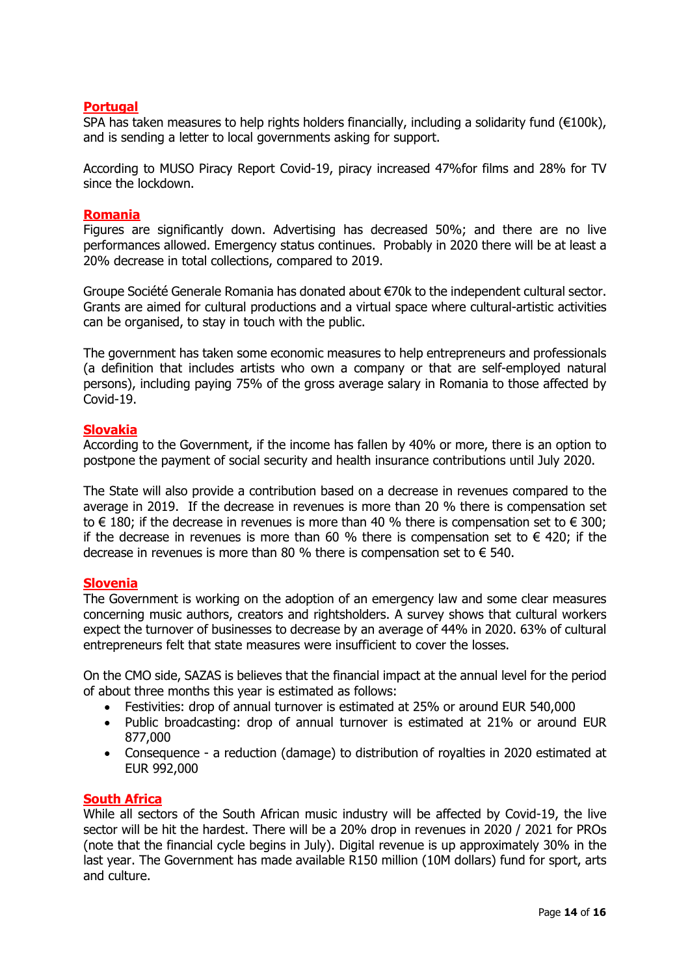## **Portugal**

SPA has taken measures to help rights holders financially, including a solidarity fund ( $€100k$ ), and is sending a letter to local governments asking for support.

According to MUSO Piracy Report Covid-19, piracy increased 47%for films and 28% for TV since the lockdown.

#### **Romania**

Figures are significantly down. Advertising has decreased 50%; and there are no live performances allowed. Emergency status continues. Probably in 2020 there will be at least a 20% decrease in total collections, compared to 2019.

Groupe Société Generale Romania has donated about €70k to the independent cultural sector. Grants are aimed for cultural productions and a virtual space where cultural-artistic activities can be organised, to stay in touch with the public.

The government has taken some economic measures to help entrepreneurs and professionals (a definition that includes artists who own a company or that are self-employed natural persons), including paying 75% of the gross average salary in Romania to those affected by Covid-19.

#### **Slovakia**

According to the Government, if the income has fallen by 40% or more, there is an option to postpone the payment of social security and health insurance contributions until July 2020.

The State will also provide a contribution based on a decrease in revenues compared to the average in 2019. If the decrease in revenues is more than 20 % there is compensation set to  $\epsilon$  180; if the decrease in revenues is more than 40 % there is compensation set to  $\epsilon$  300; if the decrease in revenues is more than 60 % there is compensation set to  $\epsilon$  420; if the decrease in revenues is more than 80 % there is compensation set to  $\epsilon$  540.

## **Slovenia**

The Government is working on the adoption of an emergency law and some clear measures concerning music authors, creators and rightsholders. A survey shows that cultural workers expect the turnover of businesses to decrease by an average of 44% in 2020. 63% of cultural entrepreneurs felt that state measures were insufficient to cover the losses.

On the CMO side, SAZAS is believes that the financial impact at the annual level for the period of about three months this year is estimated as follows:

- Festivities: drop of annual turnover is estimated at 25% or around EUR 540,000
- Public broadcasting: drop of annual turnover is estimated at 21% or around EUR 877,000
- Consequence a reduction (damage) to distribution of royalties in 2020 estimated at EUR 992,000

## **South Africa**

While all sectors of the South African music industry will be affected by Covid-19, the live sector will be hit the hardest. There will be a 20% drop in revenues in 2020 / 2021 for PROs (note that the financial cycle begins in July). Digital revenue is up approximately 30% in the last year. The Government has made available R150 million (10M dollars) fund for sport, arts and culture.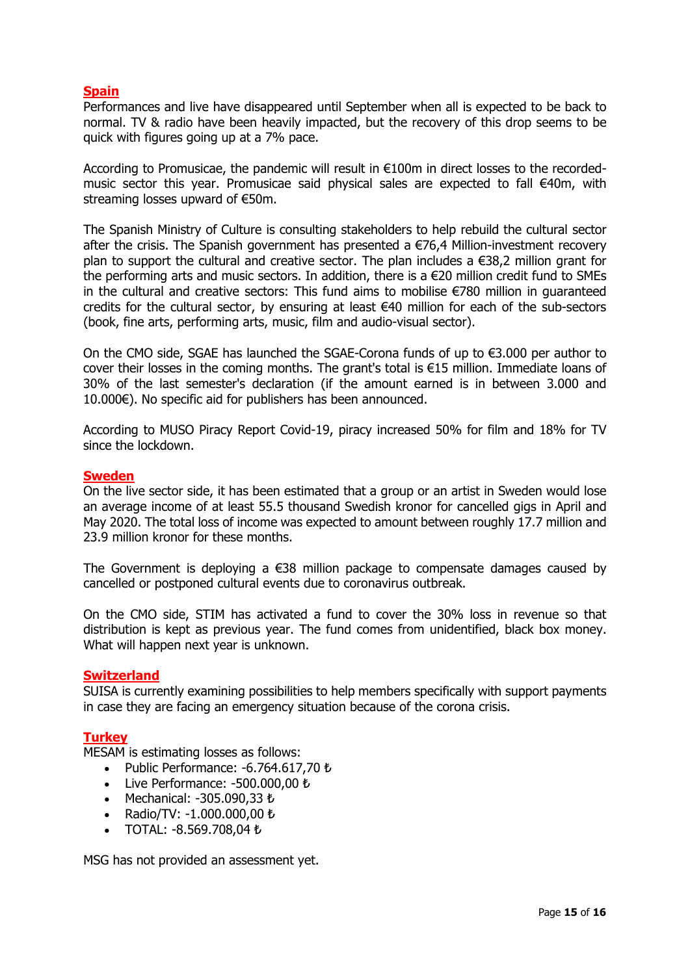# **Spain**

Performances and live have disappeared until September when all is expected to be back to normal. TV & radio have been heavily impacted, but the recovery of this drop seems to be quick with figures going up at a 7% pace.

According to Promusicae, the pandemic will result in €100m in direct losses to the recordedmusic sector this year. Promusicae said physical sales are expected to fall €40m, with streaming losses upward of €50m.

The Spanish Ministry of Culture is consulting stakeholders to help rebuild the cultural sector after the crisis. The Spanish government has presented a  $E76,4$  Million-investment recovery plan to support the cultural and creative sector. The plan includes a €38,2 million grant for the performing arts and music sectors. In addition, there is a €20 million credit fund to SMEs in the cultural and creative sectors: This fund aims to mobilise €780 million in guaranteed credits for the cultural sector, by ensuring at least €40 million for each of the sub-sectors (book, fine arts, performing arts, music, film and audio-visual sector).

On the CMO side, SGAE has launched the SGAE-Corona funds of up to €3.000 per author to cover their losses in the coming months. The grant's total is €15 million. Immediate loans of 30% of the last semester's declaration (if the amount earned is in between 3.000 and 10.000€). No specific aid for publishers has been announced.

According to MUSO Piracy Report Covid-19, piracy increased 50% for film and 18% for TV since the lockdown.

#### **Sweden**

On the live sector side, it has been estimated that a group or an artist in Sweden would lose an average income of at least 55.5 thousand Swedish kronor for cancelled gigs in April and May 2020. The total loss of income was expected to amount between roughly 17.7 million and 23.9 million kronor for these months.

The Government is deploying a  $\epsilon$ 38 million package to compensate damages caused by cancelled or postponed cultural events due to coronavirus outbreak.

On the CMO side, STIM has activated a fund to cover the 30% loss in revenue so that distribution is kept as previous year. The fund comes from unidentified, black box money. What will happen next year is unknown.

#### **Switzerland**

SUISA is currently examining possibilities to help members specifically with support payments in case they are facing an emergency situation because of the corona crisis.

#### **Turkey**

MESAM is estimating losses as follows:

- Public Performance: -6.764.617,70 ₺
- Live Performance: -500.000,00 ₺
- Mechanical: -305.090,33 ₺
- Radio/TV: -1.000.000,00 ₺
- TOTAL: -8.569.708,04 ₺

MSG has not provided an assessment yet.